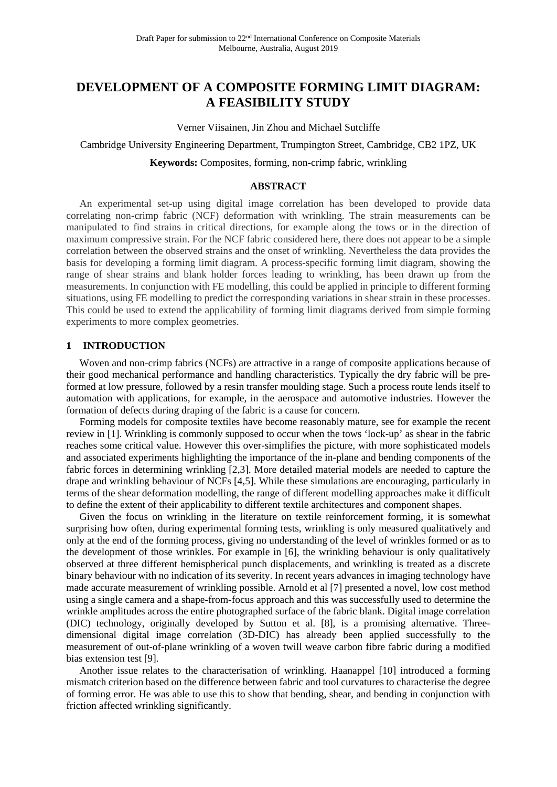# **DEVELOPMENT OF A COMPOSITE FORMING LIMIT DIAGRAM: A FEASIBILITY STUDY**

Verner Viisainen, Jin Zhou and Michael Sutcliffe

Cambridge University Engineering Department, Trumpington Street, Cambridge, CB2 1PZ, UK

**Keywords:** Composites, forming, non-crimp fabric, wrinkling

## **ABSTRACT**

An experimental set-up using digital image correlation has been developed to provide data correlating non-crimp fabric (NCF) deformation with wrinkling. The strain measurements can be manipulated to find strains in critical directions, for example along the tows or in the direction of maximum compressive strain. For the NCF fabric considered here, there does not appear to be a simple correlation between the observed strains and the onset of wrinkling. Nevertheless the data provides the basis for developing a forming limit diagram. A process-specific forming limit diagram, showing the range of shear strains and blank holder forces leading to wrinkling, has been drawn up from the measurements. In conjunction with FE modelling, this could be applied in principle to different forming situations, using FE modelling to predict the corresponding variations in shear strain in these processes. This could be used to extend the applicability of forming limit diagrams derived from simple forming experiments to more complex geometries.

## **1 INTRODUCTION**

Woven and non-crimp fabrics (NCFs) are attractive in a range of composite applications because of their good mechanical performance and handling characteristics. Typically the dry fabric will be preformed at low pressure, followed by a resin transfer moulding stage. Such a process route lends itself to automation with applications, for example, in the aerospace and automotive industries. However the formation of defects during draping of the fabric is a cause for concern.

Forming models for composite textiles have become reasonably mature, see for example the recent review in [1]. Wrinkling is commonly supposed to occur when the tows 'lock-up' as shear in the fabric reaches some critical value. However this over-simplifies the picture, with more sophisticated models and associated experiments highlighting the importance of the in-plane and bending components of the fabric forces in determining wrinkling [2,3]. More detailed material models are needed to capture the drape and wrinkling behaviour of NCFs [4,5]. While these simulations are encouraging, particularly in terms of the shear deformation modelling, the range of different modelling approaches make it difficult to define the extent of their applicability to different textile architectures and component shapes.

Given the focus on wrinkling in the literature on textile reinforcement forming, it is somewhat surprising how often, during experimental forming tests, wrinkling is only measured qualitatively and only at the end of the forming process, giving no understanding of the level of wrinkles formed or as to the development of those wrinkles. For example in [6], the wrinkling behaviour is only qualitatively observed at three different hemispherical punch displacements, and wrinkling is treated as a discrete binary behaviour with no indication of its severity. In recent years advances in imaging technology have made accurate measurement of wrinkling possible. Arnold et al [7] presented a novel, low cost method using a single camera and a shape-from-focus approach and this was successfully used to determine the wrinkle amplitudes across the entire photographed surface of the fabric blank. Digital image correlation (DIC) technology, originally developed by Sutton et al. [8], is a promising alternative. Threedimensional digital image correlation (3D-DIC) has already been applied successfully to the measurement of out-of-plane wrinkling of a woven twill weave carbon fibre fabric during a modified bias extension test [9].

Another issue relates to the characterisation of wrinkling. Haanappel [10] introduced a forming mismatch criterion based on the difference between fabric and tool curvatures to characterise the degree of forming error. He was able to use this to show that bending, shear, and bending in conjunction with friction affected wrinkling significantly.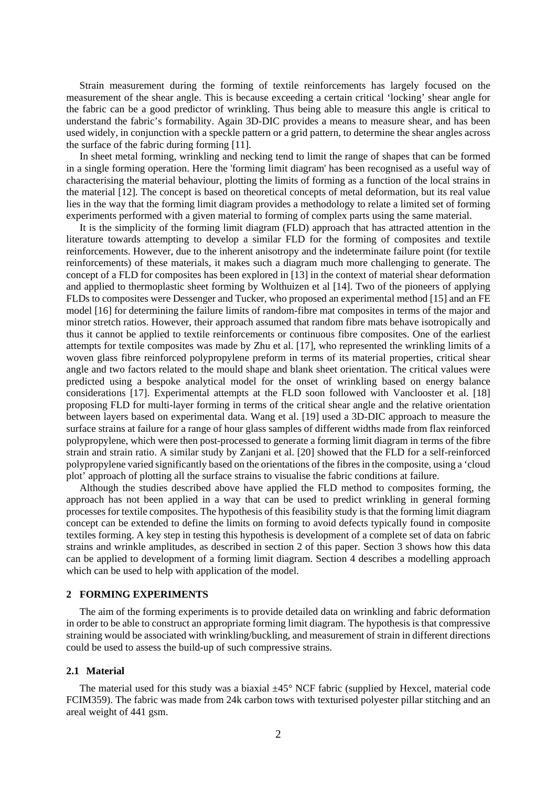Strain measurement during the forming of textile reinforcements has largely focused on the measurement of the shear angle. This is because exceeding a certain critical 'locking' shear angle for the fabric can be a good predictor of wrinkling. Thus being able to measure this angle is critical to understand the fabric's formability. Again 3D-DIC provides a means to measure shear, and has been used widely, in conjunction with a speckle pattern or a grid pattern, to determine the shear angles across the surface of the fabric during forming [11].

In sheet metal forming, wrinkling and necking tend to limit the range of shapes that can be formed in a single forming operation. Here the 'forming limit diagram' has been recognised as a useful way of characterising the material behaviour, plotting the limits of forming as a function of the local strains in the material [12]. The concept is based on theoretical concepts of metal deformation, but its real value lies in the way that the forming limit diagram provides a methodology to relate a limited set of forming experiments performed with a given material to forming of complex parts using the same material.

It is the simplicity of the forming limit diagram (FLD) approach that has attracted attention in the literature towards attempting to develop a similar FLD for the forming of composites and textile reinforcements. However, due to the inherent anisotropy and the indeterminate failure point (for textile reinforcements) of these materials, it makes such a diagram much more challenging to generate. The concept of a FLD for composites has been explored in [13] in the context of material shear deformation and applied to thermoplastic sheet forming by Wolthuizen et al [14]. Two of the pioneers of applying FLDs to composites were Dessenger and Tucker, who proposed an experimental method [15] and an FE model [16] for determining the failure limits of random-fibre mat composites in terms of the major and minor stretch ratios. However, their approach assumed that random fibre mats behave isotropically and thus it cannot be applied to textile reinforcements or continuous fibre composites. One of the earliest attempts for textile composites was made by Zhu et al. [17], who represented the wrinkling limits of a woven glass fibre reinforced polypropylene preform in terms of its material properties, critical shear angle and two factors related to the mould shape and blank sheet orientation. The critical values were predicted using a bespoke analytical model for the onset of wrinkling based on energy balance considerations [17]. Experimental attempts at the FLD soon followed with Vanclooster et al. [18] proposing FLD for multi-layer forming in terms of the critical shear angle and the relative orientation between layers based on experimental data. Wang et al. [19] used a 3D-DIC approach to measure the surface strains at failure for a range of hour glass samples of different widths made from flax reinforced polypropylene, which were then post-processed to generate a forming limit diagram in terms of the fibre strain and strain ratio. A similar study by Zanjani et al. [20] showed that the FLD for a self-reinforced polypropylene varied significantly based on the orientations of the fibres in the composite, using a 'cloud plot' approach of plotting all the surface strains to visualise the fabric conditions at failure.

Although the studies described above have applied the FLD method to composites forming, the approach has not been applied in a way that can be used to predict wrinkling in general forming processes for textile composites. The hypothesis of this feasibility study is that the forming limit diagram concept can be extended to define the limits on forming to avoid defects typically found in composite textiles forming. A key step in testing this hypothesis is development of a complete set of data on fabric strains and wrinkle amplitudes, as described in section 2 of this paper. Section 3 shows how this data can be applied to development of a forming limit diagram. Section 4 describes a modelling approach which can be used to help with application of the model.

## **2 FORMING EXPERIMENTS**

The aim of the forming experiments is to provide detailed data on wrinkling and fabric deformation in order to be able to construct an appropriate forming limit diagram. The hypothesis is that compressive straining would be associated with wrinkling/buckling, and measurement of strain in different directions could be used to assess the build-up of such compressive strains.

#### **2.1 Material**

The material used for this study was a biaxial  $\pm 45^{\circ}$  NCF fabric (supplied by Hexcel, material code FCIM359). The fabric was made from 24k carbon tows with texturised polyester pillar stitching and an areal weight of 441 gsm.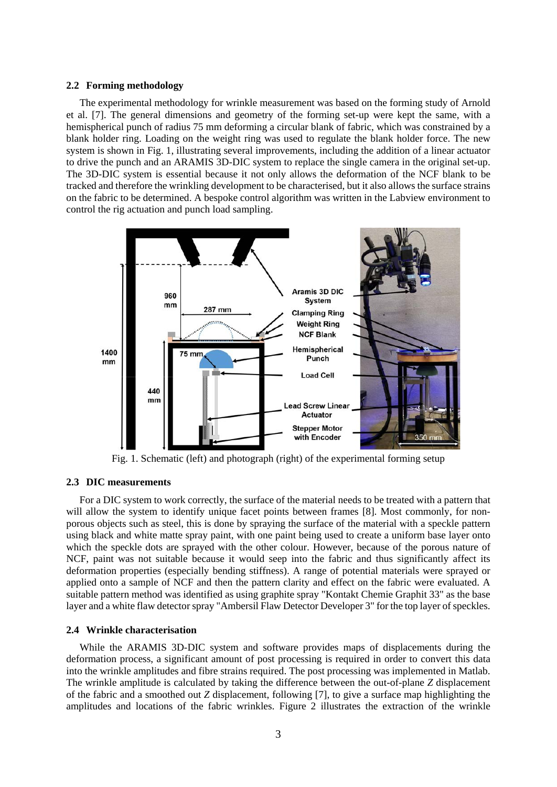#### **2.2 Forming methodology**

The experimental methodology for wrinkle measurement was based on the forming study of Arnold et al. [7]. The general dimensions and geometry of the forming set-up were kept the same, with a hemispherical punch of radius 75 mm deforming a circular blank of fabric, which was constrained by a blank holder ring. Loading on the weight ring was used to regulate the blank holder force. The new system is shown in Fig. 1, illustrating several improvements, including the addition of a linear actuator to drive the punch and an ARAMIS 3D-DIC system to replace the single camera in the original set-up. The 3D-DIC system is essential because it not only allows the deformation of the NCF blank to be tracked and therefore the wrinkling development to be characterised, but it also allows the surface strains on the fabric to be determined. A bespoke control algorithm was written in the Labview environment to control the rig actuation and punch load sampling.



Fig. 1. Schematic (left) and photograph (right) of the experimental forming setup

#### **2.3 DIC measurements**

For a DIC system to work correctly, the surface of the material needs to be treated with a pattern that will allow the system to identify unique facet points between frames [8]. Most commonly, for nonporous objects such as steel, this is done by spraying the surface of the material with a speckle pattern using black and white matte spray paint, with one paint being used to create a uniform base layer onto which the speckle dots are sprayed with the other colour. However, because of the porous nature of NCF, paint was not suitable because it would seep into the fabric and thus significantly affect its deformation properties (especially bending stiffness). A range of potential materials were sprayed or applied onto a sample of NCF and then the pattern clarity and effect on the fabric were evaluated. A suitable pattern method was identified as using graphite spray "Kontakt Chemie Graphit 33" as the base layer and a white flaw detector spray "Ambersil Flaw Detector Developer 3" for the top layer of speckles.

#### **2.4 Wrinkle characterisation**

While the ARAMIS 3D-DIC system and software provides maps of displacements during the deformation process, a significant amount of post processing is required in order to convert this data into the wrinkle amplitudes and fibre strains required. The post processing was implemented in Matlab. The wrinkle amplitude is calculated by taking the difference between the out-of-plane *Z* displacement of the fabric and a smoothed out *Z* displacement, following [7], to give a surface map highlighting the amplitudes and locations of the fabric wrinkles. Figure 2 illustrates the extraction of the wrinkle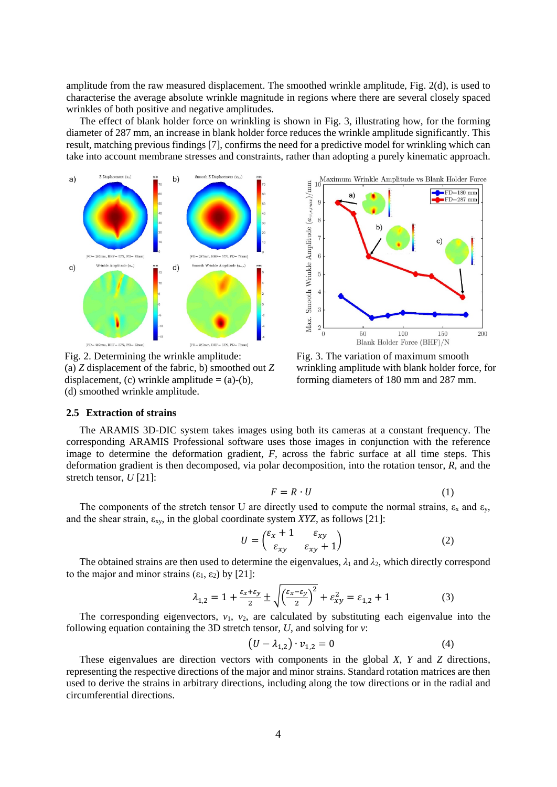amplitude from the raw measured displacement. The smoothed wrinkle amplitude, Fig. 2(d), is used to characterise the average absolute wrinkle magnitude in regions where there are several closely spaced wrinkles of both positive and negative amplitudes.

The effect of blank holder force on wrinkling is shown in Fig. 3, illustrating how, for the forming diameter of 287 mm, an increase in blank holder force reduces the wrinkle amplitude significantly. This result, matching previous findings [7], confirms the need for a predictive model for wrinkling which can take into account membrane stresses and constraints, rather than adopting a purely kinematic approach.



Fig. 2. Determining the wrinkle amplitude: (a) *Z* displacement of the fabric, b) smoothed out *Z* displacement, (c) wrinkle amplitude  $=$  (a)-(b), (d) smoothed wrinkle amplitude.



Fig. 3. The variation of maximum smooth wrinkling amplitude with blank holder force, for forming diameters of 180 mm and 287 mm.

#### **2.5 Extraction of strains**

The ARAMIS 3D-DIC system takes images using both its cameras at a constant frequency. The corresponding ARAMIS Professional software uses those images in conjunction with the reference image to determine the deformation gradient, *F*, across the fabric surface at all time steps. This deformation gradient is then decomposed, via polar decomposition, into the rotation tensor, *R*, and the stretch tensor, *U* [21]:

$$
F = R \cdot U \tag{1}
$$

The components of the stretch tensor U are directly used to compute the normal strains,  $\varepsilon_x$  and  $\varepsilon_y$ , and the shear strain, εxy, in the global coordinate system *XYZ*, as follows [21]:

$$
U = \begin{pmatrix} \varepsilon_x + 1 & \varepsilon_{xy} \\ \varepsilon_{xy} & \varepsilon_{xy} + 1 \end{pmatrix}
$$
 (2)

The obtained strains are then used to determine the eigenvalues,  $\lambda_1$  and  $\lambda_2$ , which directly correspond to the major and minor strains  $(\epsilon_1, \epsilon_2)$  by [21]:

$$
\lambda_{1,2} = 1 + \frac{\varepsilon_x + \varepsilon_y}{2} \pm \sqrt{\left(\frac{\varepsilon_x - \varepsilon_y}{2}\right)^2} + \varepsilon_{xy}^2 = \varepsilon_{1,2} + 1 \tag{3}
$$

The corresponding eigenvectors,  $v_1$ ,  $v_2$ , are calculated by substituting each eigenvalue into the following equation containing the 3D stretch tensor, *U*, and solving for *v*:

$$
(U - \lambda_{1,2}) \cdot v_{1,2} = 0 \tag{4}
$$

These eigenvalues are direction vectors with components in the global *X*, *Y* and *Z* directions, representing the respective directions of the major and minor strains. Standard rotation matrices are then used to derive the strains in arbitrary directions, including along the tow directions or in the radial and circumferential directions.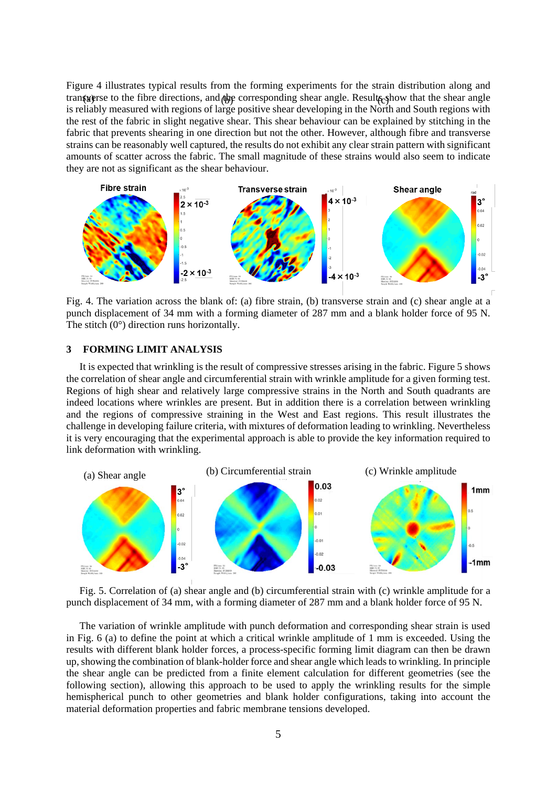Figure 4 illustrates typical results from the forming experiments for the strain distribution along and transverse to the fibre directions, and the corresponding shear angle. Results from that the shear angle is reliably measured with regions of large positive shear developing in the North and South regions with the rest of the fabric in slight negative shear. This shear behaviour can be explained by stitching in the fabric that prevents shearing in one direction but not the other. However, although fibre and transverse strains can be reasonably well captured, the results do not exhibit any clear strain pattern with significant amounts of scatter across the fabric. The small magnitude of these strains would also seem to indicate they are not as significant as the shear behaviour.



Fig. 4. The variation across the blank of: (a) fibre strain, (b) transverse strain and (c) shear angle at a punch displacement of 34 mm with a forming diameter of 287 mm and a blank holder force of 95 N. The stitch  $(0^{\circ})$  direction runs horizontally.

## **3 FORMING LIMIT ANALYSIS**

It is expected that wrinkling is the result of compressive stresses arising in the fabric. Figure 5 shows the correlation of shear angle and circumferential strain with wrinkle amplitude for a given forming test. Regions of high shear and relatively large compressive strains in the North and South quadrants are indeed locations where wrinkles are present. But in addition there is a correlation between wrinkling and the regions of compressive straining in the West and East regions. This result illustrates the challenge in developing failure criteria, with mixtures of deformation leading to wrinkling. Nevertheless it is very encouraging that the experimental approach is able to provide the key information required to link deformation with wrinkling.



Fig. 5. Correlation of (a) shear angle and (b) circumferential strain with (c) wrinkle amplitude for a punch displacement of 34 mm, with a forming diameter of 287 mm and a blank holder force of 95 N.

The variation of wrinkle amplitude with punch deformation and corresponding shear strain is used in Fig. 6 (a) to define the point at which a critical wrinkle amplitude of 1 mm is exceeded. Using the results with different blank holder forces, a process-specific forming limit diagram can then be drawn up, showing the combination of blank-holder force and shear angle which leadsto wrinkling. In principle the shear angle can be predicted from a finite element calculation for different geometries (see the following section), allowing this approach to be used to apply the wrinkling results for the simple hemispherical punch to other geometries and blank holder configurations, taking into account the material deformation properties and fabric membrane tensions developed.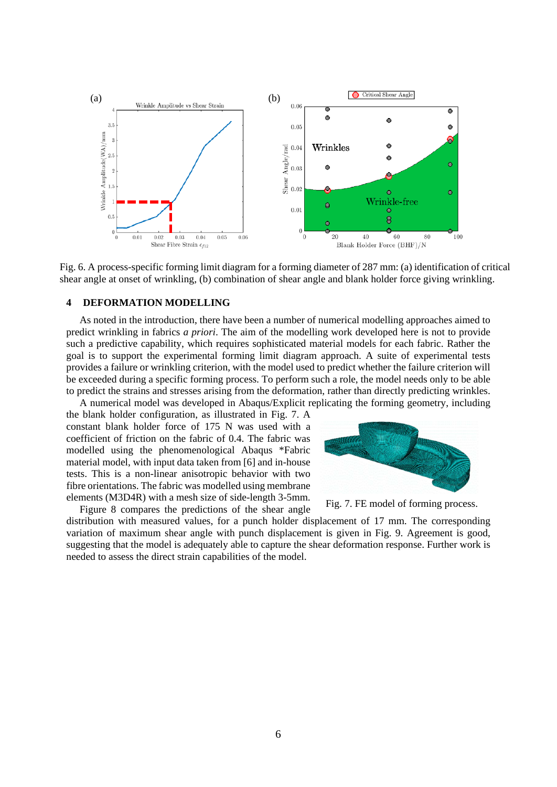

Fig. 6. A process-specific forming limit diagram for a forming diameter of 287 mm: (a) identification of critical shear angle at onset of wrinkling, (b) combination of shear angle and blank holder force giving wrinkling.

## **4 DEFORMATION MODELLING**

As noted in the introduction, there have been a number of numerical modelling approaches aimed to predict wrinkling in fabrics *a priori*. The aim of the modelling work developed here is not to provide such a predictive capability, which requires sophisticated material models for each fabric. Rather the goal is to support the experimental forming limit diagram approach. A suite of experimental tests provides a failure or wrinkling criterion, with the model used to predict whether the failure criterion will be exceeded during a specific forming process. To perform such a role, the model needs only to be able to predict the strains and stresses arising from the deformation, rather than directly predicting wrinkles. A numerical model was developed in Abaqus/Explicit replicating the forming geometry, including

the blank holder configuration, as illustrated in Fig. 7. A constant blank holder force of 175 N was used with a coefficient of friction on the fabric of 0.4. The fabric was modelled using the phenomenological Abaqus \*Fabric material model, with input data taken from [6] and in-house

fibre orientations. The fabric was modelled using membrane elements (M3D4R) with a mesh size of side-length 3-5mm.

Figure 8 compares the predictions of the shear angle

tests. This is a non-linear anisotropic behavior with two



Fig. 7. FE model of forming process.

distribution with measured values, for a punch holder displacement of 17 mm. The corresponding variation of maximum shear angle with punch displacement is given in Fig. 9. Agreement is good, suggesting that the model is adequately able to capture the shear deformation response. Further work is needed to assess the direct strain capabilities of the model.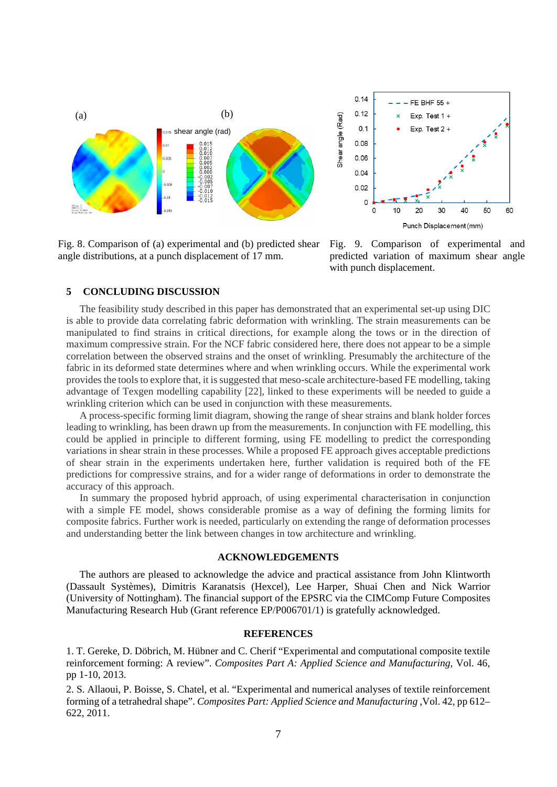

Fig. 8. Comparison of (a) experimental and (b) predicted shear angle distributions, at a punch displacement of 17 mm.



Fig. 9. Comparison of experimental and predicted variation of maximum shear angle with punch displacement.

## **5 CONCLUDING DISCUSSION**

The feasibility study described in this paper has demonstrated that an experimental set-up using DIC is able to provide data correlating fabric deformation with wrinkling. The strain measurements can be manipulated to find strains in critical directions, for example along the tows or in the direction of maximum compressive strain. For the NCF fabric considered here, there does not appear to be a simple correlation between the observed strains and the onset of wrinkling. Presumably the architecture of the fabric in its deformed state determines where and when wrinkling occurs. While the experimental work provides the tools to explore that, it is suggested that meso-scale architecture-based FE modelling, taking advantage of Texgen modelling capability [22], linked to these experiments will be needed to guide a wrinkling criterion which can be used in conjunction with these measurements.

A process-specific forming limit diagram, showing the range of shear strains and blank holder forces leading to wrinkling, has been drawn up from the measurements. In conjunction with FE modelling, this could be applied in principle to different forming, using FE modelling to predict the corresponding variations in shear strain in these processes. While a proposed FE approach gives acceptable predictions of shear strain in the experiments undertaken here, further validation is required both of the FE predictions for compressive strains, and for a wider range of deformations in order to demonstrate the accuracy of this approach.

In summary the proposed hybrid approach, of using experimental characterisation in conjunction with a simple FE model, shows considerable promise as a way of defining the forming limits for composite fabrics. Further work is needed, particularly on extending the range of deformation processes and understanding better the link between changes in tow architecture and wrinkling.

## **ACKNOWLEDGEMENTS**

The authors are pleased to acknowledge the advice and practical assistance from John Klintworth (Dassault Systèmes), Dimitris Karanatsis (Hexcel), Lee Harper, Shuai Chen and Nick Warrior (University of Nottingham). The financial support of the EPSRC via the CIMComp Future Composites Manufacturing Research Hub (Grant reference EP/P006701/1) is gratefully acknowledged.

#### **REFERENCES**

1. T. Gereke, D. Döbrich, M. Hübner and C. Cherif "Experimental and computational composite textile reinforcement forming: A review". *Composites Part A: Applied Science and Manufacturing*, Vol. 46, pp 1-10, 2013.

2. S. Allaoui, P. Boisse, S. Chatel, et al. "Experimental and numerical analyses of textile reinforcement forming of a tetrahedral shape". *Composites Part: Applied Science and Manufacturing* ,Vol. 42, pp 612– 622, 2011.